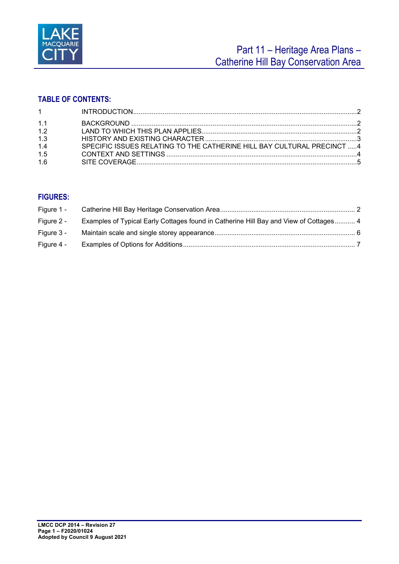

# **TABLE OF CONTENTS:**

| $1 \quad \text{or} \quad$ |                                                                         |  |
|---------------------------|-------------------------------------------------------------------------|--|
| 1 <sub>1</sub>            |                                                                         |  |
| 1.2                       |                                                                         |  |
| 1.3                       |                                                                         |  |
| 1.4                       | SPECIFIC ISSUES RELATING TO THE CATHERINE HILL BAY CULTURAL PRECINCT  4 |  |
| 1.5                       |                                                                         |  |
| 1.6                       |                                                                         |  |

# **FIGURES:**

| Figure 2 - | Examples of Typical Early Cottages found in Catherine Hill Bay and View of Cottages 4 |  |
|------------|---------------------------------------------------------------------------------------|--|
| Figure 3 - |                                                                                       |  |
| Figure 4 - |                                                                                       |  |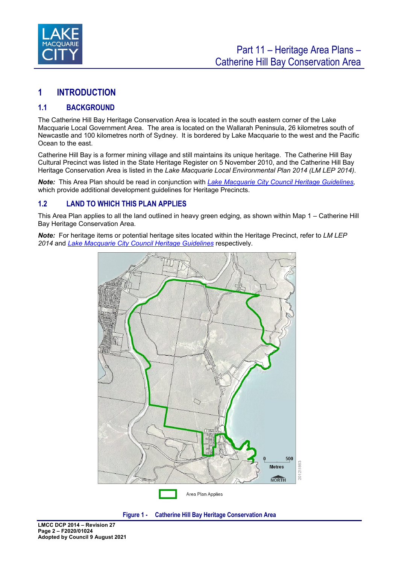

# <span id="page-1-0"></span>**1 INTRODUCTION**

# <span id="page-1-1"></span>**1.1 BACKGROUND**

The Catherine Hill Bay Heritage Conservation Area is located in the south eastern corner of the Lake Macquarie Local Government Area. The area is located on the Wallarah Peninsula, 26 kilometres south of Newcastle and 100 kilometres north of Sydney. It is bordered by Lake Macquarie to the west and the Pacific Ocean to the east.

Catherine Hill Bay is a former mining village and still maintains its unique heritage. The Catherine Hill Bay Cultural Precinct was listed in the State Heritage Register on 5 November 2010, and the Catherine Hill Bay Heritage Conservation Area is listed in the *Lake Macquarie Local Environmental Plan 2014 (LM LEP 2014)*.

*Note:* This Area Plan should be read in conjunction with *[Lake Macquarie City Council Heritage Guidelines,](https://www.lakemac.com.au/Development/Planning-controls/Local-Planning-Controls#section-5)*  which provide additional development guidelines for Heritage Precincts.

### <span id="page-1-2"></span>**1.2 LAND TO WHICH THIS PLAN APPLIES**

This Area Plan applies to all the land outlined in heavy green edging, as shown within Map 1 *–* Catherine Hill Bay Heritage Conservation Area*.* 

*Note:* For heritage items or potential heritage sites located within the Heritage Precinct, refer to *LM LEP 2014* and *[Lake Macquarie City Council Heritage Guidelines](https://www.lakemac.com.au/Development/Planning-controls/Local-Planning-Controls#section-5)* respectively.



<span id="page-1-3"></span>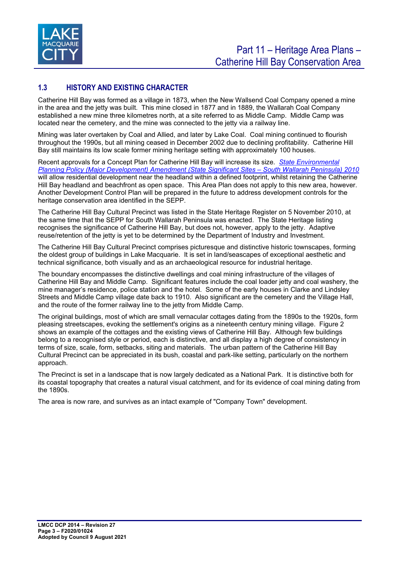

# <span id="page-2-0"></span>**1.3 HISTORY AND EXISTING CHARACTER**

Catherine Hill Bay was formed as a village in 1873, when the New Wallsend Coal Company opened a mine in the area and the jetty was built. This mine closed in 1877 and in 1889, the Wallarah Coal Company established a new mine three kilometres north, at a site referred to as Middle Camp. Middle Camp was located near the cemetery, and the mine was connected to the jetty via a railway line.

Mining was later overtaken by Coal and Allied, and later by Lake Coal. Coal mining continued to flourish throughout the 1990s, but all mining ceased in December 2002 due to declining profitability. Catherine Hill Bay still maintains its low scale former mining heritage setting with approximately 100 houses.

Recent approvals for a Concept Plan for Catherine Hill Bay will increase its size. *[State Environmental](http://www.google.com.au/url?sa=t&rct=j&q=&esrc=s&frm=1&source=web&cd=2&cad=rja&uact=8&ved=0ahUKEwi7mteLpZbKAhUEK6YKHQpLCHQQFggiMAE&url=http%3A%2F%2Fwww5.austlii.edu.au%2Fau%2Flegis%2Fnsw%2Fnum_epi%2Fseppdasswp201020106201089.pdf&usg=AFQjCNGZbka1tCqILjWJAqhRmMX6fl09Wg)  [Planning Policy \(Major Development\) Amendment \(State Significant Sites](http://www.google.com.au/url?sa=t&rct=j&q=&esrc=s&frm=1&source=web&cd=2&cad=rja&uact=8&ved=0ahUKEwi7mteLpZbKAhUEK6YKHQpLCHQQFggiMAE&url=http%3A%2F%2Fwww5.austlii.edu.au%2Fau%2Flegis%2Fnsw%2Fnum_epi%2Fseppdasswp201020106201089.pdf&usg=AFQjCNGZbka1tCqILjWJAqhRmMX6fl09Wg) – South Wallarah Peninsula) 2010* will allow residential development near the headland within a defined footprint, whilst retaining the Catherine Hill Bay headland and beachfront as open space. This Area Plan does not apply to this new area, however. Another Development Control Plan will be prepared in the future to address development controls for the heritage conservation area identified in the SEPP.

The Catherine Hill Bay Cultural Precinct was listed in the State Heritage Register on 5 November 2010, at the same time that the SEPP for South Wallarah Peninsula was enacted. The State Heritage listing recognises the significance of Catherine Hill Bay, but does not, however, apply to the jetty. Adaptive reuse/retention of the jetty is yet to be determined by the Department of Industry and Investment.

The Catherine Hill Bay Cultural Precinct comprises picturesque and distinctive historic townscapes, forming the oldest group of buildings in Lake Macquarie. It is set in land/seascapes of exceptional aesthetic and technical significance, both visually and as an archaeological resource for industrial heritage.

The boundary encompasses the distinctive dwellings and coal mining infrastructure of the villages of Catherine Hill Bay and Middle Camp. Significant features include the coal loader jetty and coal washery, the mine manager's residence, police station and the hotel. Some of the early houses in Clarke and Lindsley Streets and Middle Camp village date back to 1910. Also significant are the cemetery and the Village Hall, and the route of the former railway line to the jetty from Middle Camp.

The original buildings, most of which are small vernacular cottages dating from the 1890s to the 1920s, form pleasing streetscapes, evoking the settlement's origins as a nineteenth century mining village. Figure 2 shows an example of the cottages and the existing views of Catherine Hill Bay. Although few buildings belong to a recognised style or period, each is distinctive, and all display a high degree of consistency in terms of size, scale, form, setbacks, siting and materials. The urban pattern of the Catherine Hill Bay Cultural Precinct can be appreciated in its bush, coastal and park-like setting, particularly on the northern approach.

The Precinct is set in a landscape that is now largely dedicated as a National Park. It is distinctive both for its coastal topography that creates a natural visual catchment, and for its evidence of coal mining dating from the 1890s.

The area is now rare, and survives as an intact example of "Company Town" development.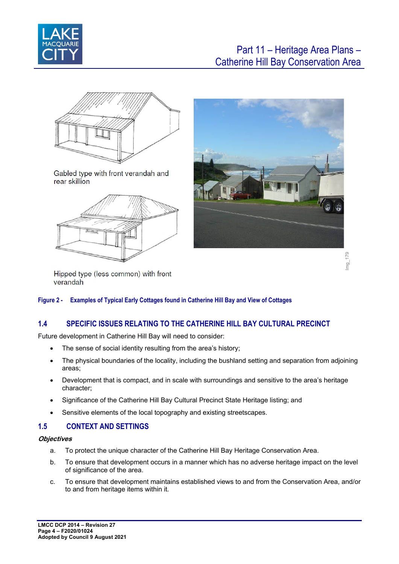



Gabled type with front verandah and rear skillion





Hipped type (less common) with front verandah

#### <span id="page-3-2"></span>**Figure 2 - Examples of Typical Early Cottages found in Catherine Hill Bay and View of Cottages**

# <span id="page-3-0"></span>**1.4 SPECIFIC ISSUES RELATING TO THE CATHERINE HILL BAY CULTURAL PRECINCT**

Future development in Catherine Hill Bay will need to consider:

- The sense of social identity resulting from the area's history;
- The physical boundaries of the locality, including the bushland setting and separation from adjoining areas;
- Development that is compact, and in scale with surroundings and sensitive to the area's heritage character;
- Significance of the Catherine Hill Bay Cultural Precinct State Heritage listing; and
- Sensitive elements of the local topography and existing streetscapes.

#### <span id="page-3-1"></span>**1.5 CONTEXT AND SETTINGS**

#### **Objectives**

- a. To protect the unique character of the Catherine Hill Bay Heritage Conservation Area.
- b. To ensure that development occurs in a manner which has no adverse heritage impact on the level of significance of the area.
- c. To ensure that development maintains established views to and from the Conservation Area, and/or to and from heritage items within it.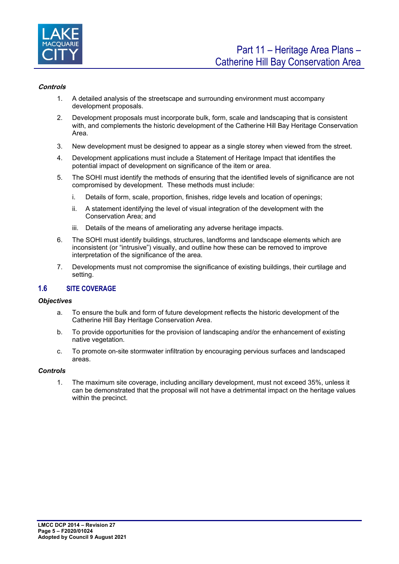

#### **Controls**

- 1. A detailed analysis of the streetscape and surrounding environment must accompany development proposals.
- 2. Development proposals must incorporate bulk, form, scale and landscaping that is consistent with, and complements the historic development of the Catherine Hill Bay Heritage Conservation Area.
- 3. New development must be designed to appear as a single storey when viewed from the street.
- 4. Development applications must include a Statement of Heritage Impact that identifies the potential impact of development on significance of the item or area.
- 5. The SOHI must identify the methods of ensuring that the identified levels of significance are not compromised by development. These methods must include:
	- i. Details of form, scale, proportion, finishes, ridge levels and location of openings;
	- ii. A statement identifying the level of visual integration of the development with the Conservation Area; and
	- iii. Details of the means of ameliorating any adverse heritage impacts.
- 6. The SOHI must identify buildings, structures, landforms and landscape elements which are inconsistent (or "intrusive") visually, and outline how these can be removed to improve interpretation of the significance of the area.
- 7. Developments must not compromise the significance of existing buildings, their curtilage and setting.

#### <span id="page-4-0"></span>**1.6 SITE COVERAGE**

#### *Objectives*

- a. To ensure the bulk and form of future development reflects the historic development of the Catherine Hill Bay Heritage Conservation Area.
- b. To provide opportunities for the provision of landscaping and/or the enhancement of existing native vegetation.
- c. To promote on-site stormwater infiltration by encouraging pervious surfaces and landscaped areas.

#### *Controls*

1. The maximum site coverage, including ancillary development, must not exceed 35%, unless it can be demonstrated that the proposal will not have a detrimental impact on the heritage values within the precinct.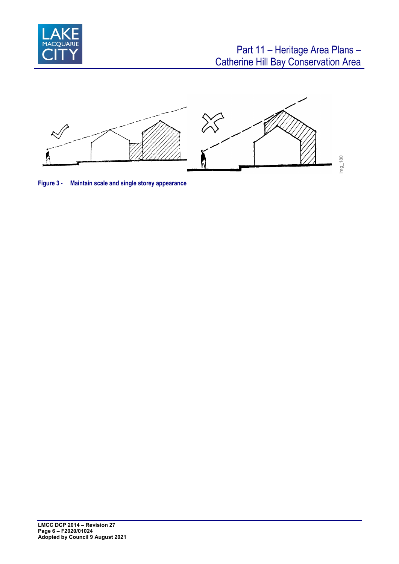



<span id="page-5-0"></span>**Figure 3 - Maintain scale and single storey appearance**